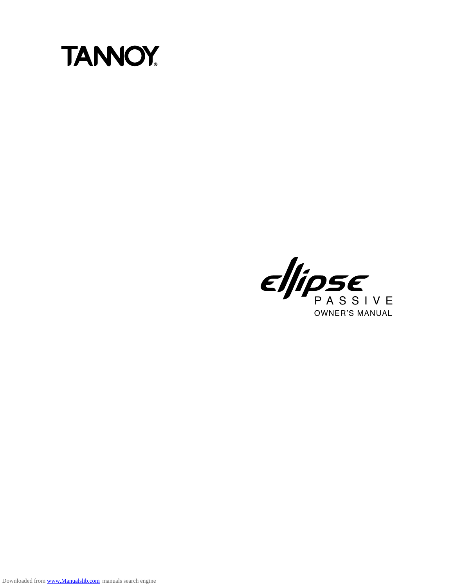

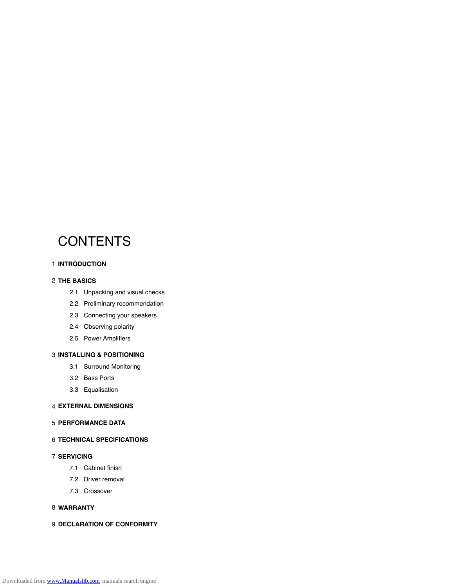# **CONTENTS**

#### **INTRODUCTION** 1

#### **THE BASICS** 2

- 2.1 Unpacking and visual checks
- 2.2 Preliminary recommendation
- 2.3 Connecting your speakers
- 2.4 Observing polarity
- 2.5 Power Amplifiers

# **INSTALLING & POSITIONING**<br>
3.1 Surround Monitoring

- 3.1 Surround Monitoring<br>3.2 Bass Ports
- 
- 3.3 Equalisation

#### **EXTERNAL DIMENSIONS** 4

#### **PERFORMANCE DATA** 5

#### **TECHNICAL SPECIFICATIONS** 6

#### **SERVICING** 7

- 7.1 Cabinet finish
- 7.2 Driver removal
- 7.3 Crossover

#### **WARRANTY** 8

#### **DECLARATION OF CONFORMITY** 9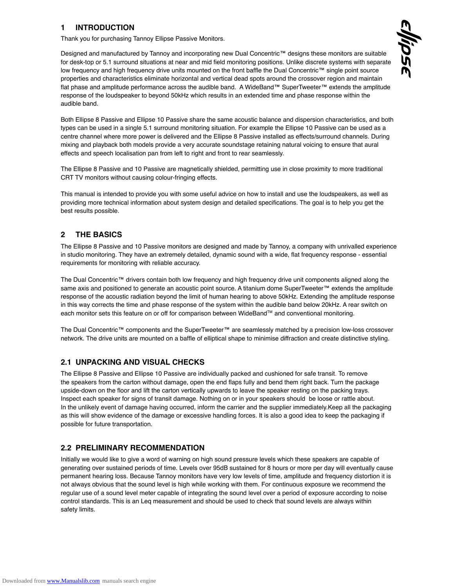# **1 INTRODUCTION**

Thank you for purchasing Tannoy Ellipse Passive Monitors.

Designed and manufactured by Tannoy and incorporating new Dual Concentric™ designs these monitors are suitable for desk-top or 5.1 surround situations at near and mid field monitoring positions. Unlike discrete systems with separate low frequency and high frequency drive units mounted on the front baffle the Dual Concentric™ single point source properties and characteristics eliminate horizontal and vertical dead spots around the crossover region and maintain Designed and manufactured by Tamloy and incorporating new Dual Concentric<sup>t and</sup> designs these monitors are suitable<br>for desk-top or 5.1 surround situations at near and mid field monitoring positions. Unlike discrete syst response of the loudspeaker to beyond 50kHz which results in an extended time and phase response within the audible band. Both Ellipse 8 Passive and Ellipse 10 Passive share the same acoustic balance and dispersion characteristics, and both<br>Both Ellipse 8 Passive and Ellipse 10 Passive share the same acoustic balance and dispersion characteri

types can be used in a single 5.1 surround monitoring situation. For example the Ellipse 10 Passive can be used as a Both Ellipse 8 Passive and Ellipse 10 Passive share the same acoustic balance and dispersion characteristics, and both<br>types can be used in a single 5.1 surround monitoring situation. For example the Ellipse 10 Passive can mixing and playback both models provide a very accurate soundstage retaining natural voicing to ensure that aural

effects and speech localisation pan from left to right and front to rear seamlessly. CRT TV monitors without causing colour-fringing effects. The Ellipse 8 Passive and 10 Passive are magnetically shielded, permitting use in close proximity to more traditional

This manual is intended to provide you with some useful advice on how to install and use the loudspeakers, as well as providing more technical information about system design and detailed specifications. The goal is to help you get the best results possible.

# **2 THE BASICS**

The Ellipse 8 Passive and 10 Passive monitors are designed and made by Tannoy, a company with unrivalled experience in studio monitoring. They have an extremely detailed, dynamic sound with a wide, flat frequency response - essential requirements for monitoring with reliable accuracy.

The Dual Concentric™ drivers contain both low frequency and high frequency drive unit components aligned along the same axis and positioned to generate an acoustic point source. A titanium dome SuperTweeter™ extends the amplitude response of the acoustic radiation beyond the limit of human hearing to above 50kHz. Extending the amplitude response same axis and positioned to generate an acoustic point source. A titanium dome SuperTweeter™ extends the amplitud<br>response of the acoustic radiation beyond the limit of human hearing to above 50kHz. Extending the amplitud in this way corrects the time and phase response of the system within the audible band below 20kHz. A rear switch on<br>each monitor sets this feature on or off for comparison between WideBand™ and conventional monitoring.

The Dual Concentric™ components and the SuperTweeter™ are seamlessly matched by a precision low-loss crossover network. The drive units are mounted on a baffle of elliptical shape to minimise diffraction and create distinctive styling.

#### **2.1 UNPACKING AND VISUAL CHECKS**

The Ellipse 8 Passive and Ellipse 10 Passive are individually packed and cushioned for safe transit. To remove the speakers from the carton without damage, open the end flaps fully and bend them right back. Turn the package upside-down on the floor and lift the carton vertically upwards to leave the speaker resting on the packing trays. Inspect each speaker for signs of transit damage. Nothing on or in your speakers should be loose or rattle about. In the unlikely event of damage having occurred, inform the carrier and the supplier immediately.Keep all the packaging as this will show evidence of the damage or excessive handling forces. It is also a good idea to keep the packaging if possible for future transportation.

#### **2.2 PRELIMINARY RECOMMENDATION**

Initially we would like to give a word of warning on high sound pressure levels which these speakers are capable of generating over sustained periods of time. Levels over 95dB sustained for 8 hours or more per day will eventually cause permanent hearing loss. Because Tannoy monitors have very low levels of time, amplitude and frequency distortion it is not always obvious that the sound level is high while working with them. For continuous exposure we recommend the regular use of a sound level meter capable of integrating the sound level over a period of exposure according to noise control standards. This is an Leq measurement and should be used to check that sound levels are always within safety limits.

lipse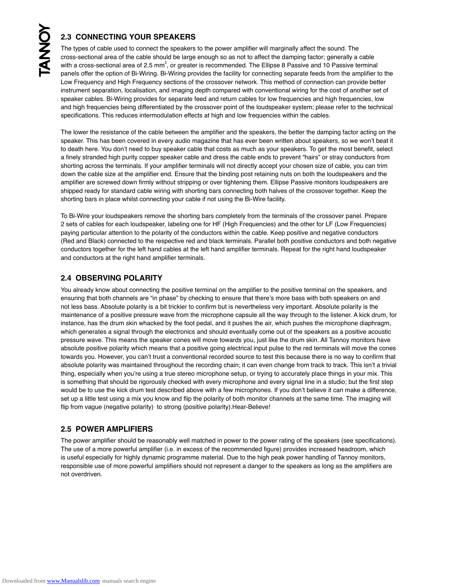# **2.3 CONNECTING YOUR SPEAKERS**

The types of cable used to connect the speakers to the power amplifier will marginally affect the sound. The cross-sectional area of the cable should be large enough so as not to affect the damping factor; generally a cable 2.3 CONNECTING YOUR SPEAKERS<br>The types of cable used to connect the speakers to the power amplifier will marginally affect the sound. The<br>cross-sectional area of the cable should be large enough so as not to affect the dam panels offer the option of Bi-Wiring. Bi-Wiring provides the facility for connecting separate feeds from the amplifier to the Lupse of assive and 10.1 assive entimidary panels offer the option of Bi-Wiring. Bi-Wiring provi The types of cable used to connect the speakers to the power amplifier will marginally affect the sound. The<br>cross-sectional area of the cable should be large enough so as not to affect the damping factor; generally a cabl instrument separation, localisation, and imaging depth compared with conventional wiring for the cost of another set of and high frequencies being differentiated by the crossover point of the loudspeaker system; please refer to the technical specifications. This reduces intermodulation effects at high and low frequencies within the cables.

The lower the resistance of the cable between the amplifier and the speakers, the better the damping factor acting on the speaker. This has been covered in every audio magazine that has ever been written about speakers, so we won't beat it to death here. You don't need to buy speaker cable that costs as much as your speakers. To get the most benefit, select a finely stranded high purity copper speaker cable and dress the cable ends to prevent "hairs" or stray conductors from shorting across the terminals. If your amplifier terminals will not directly accept your chosen size of cable, you can trim down the cable size at the amplifier end. Ensure that the binding post retaining nuts on both the loudspeakers and the amplifier are screwed down firmly without stripping or over tightening them. Ellipse Passive monitors loudspeakers are shipped ready for standard cable wiring with shorting bars connecting both halves of the crossover together. Keep the down the cable size at the amplifier end. Ensure that the binding post retaining nu<br>amplifier are screwed down firmly without stripping or over tightening them. Ellips<br>shipped ready for standard cable wiring with shorting shipped ready for standard cable wiring with shorting bars connecting both haives of the crossover together. Keep the<br>shorting bars in place whilst connecting your cable if not using the Bi-Wire facility.<br>To Bi-Wire your l

shorting bars in place whilst connecting your cable in hot using the Bi-wire racility.<br>To Bi-Wire your loudspeakers remove the shorting bars completely from the terminals of the crossover panel. Prepare<br>2 sets of cables fo paying particular attention to the polarity of the conductors within the cable. Keep positive and negative conductors 2 sets of cables for each loudspeaker, labeling one for HF (High Frequencies) and the other for LF (Low Frequencies)<br>paying particular attention to the polarity of the conductors within the cable. Keep positive and negativ conductors together for the left hand cables at the left hand amplifier terminals. Repeat for the right hand loudspeaker and conductors at the right hand amplifier terminals.

#### **2.4 OBSERVING POLARITY**

You already know about connecting the positive terminal on the amplifier to the positive terminal on the speakers, and ensuring that both channels are "in phase" by checking to ensure that there's more bass with both speakers on and not less bass. Absolute polarity is a bit trickier to confirm but is nevertheless very important. Absolute polarity is the ensuring that both channels are "in phase" by checking to ensure that there's more bass with both speakers on and<br>not less bass. Absolute polarity is a bit trickier to confirm but is nevertheless very important. Absolute p instance, has the drum skin whacked by the foot pedal, and it pushes the air, which pushes the microphone diaphragm, which generates a signal through the electronics and should eventually come out of the speakers as a positive acoustic pressure wave. This means the speaker cones will move towards you, just like the drum skin. All Tannoy monitors have absolute positive polarity which means that a positive going electrical input pulse to the red terminals will move the cones towards you. However, you can't trust a conventional recorded source to test this because there is no way to confirm that absolute polarity was maintained throughout the recording chain; it can even change from track to track. This isn't a trivial thing, especially when you're using a true stereo microphone setup, or trying to accurately place things in your mix. This is something that should be rigorously checked with every microphone and every signal line in a studio; but the first step would be to use the kick drum test described above with a few microphones. If you don't believe it can make a difference, set up a little test using a mix you know and flip the polarity of both monitor channels at the same time. The imaging will<br>flip from vague (negative polarity) to strong (positive polarity).Hear-Believe!

# **2.5 POWER AMPLIFIERS**

The power amplifier should be reasonably well matched in power to the power rating of the speakers (see specifications). The use of a more powerful amplifier (i.e. in excess of the recommended figure) provides increased headroom, which is useful especially for highly dynamic programme material. Due to the high peak power handling of Tannoy monitors, responsible use of more powerful amplifiers should not represent a danger to the speakers as long as the amplifiers are not overdriven.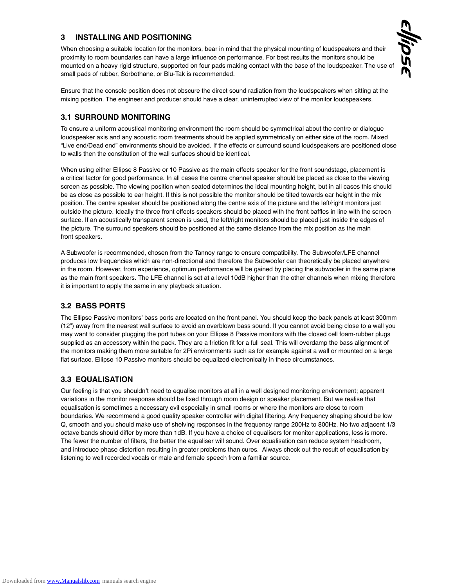# **3 INSTALLING AND POSITIONING**

When choosing a suitable location for the monitors, bear in mind that the physical mounting of loudspeakers and their proximity to room boundaries can have a large influence on performance. For best results the monitors should be mounted on a heavy rigid structure, supported on four pads making contact with the base of the loudspeaker. The use of When choosing a suitable location for the monitors, bear in mine<br>proximity to room boundaries can have a large influence on per<br>mounted on a heavy rigid structure, supported on four pads mal<br>small pads of rubber, Sorbothan Ensure that the console position does not obscure the direct sound radiation from the loudspeakers when sitting at the console position does not obscure the direct sound radiation from the loudspeakers when sitting at the

lipse

mixing position. The engineer and producer should have a clear, uninterrupted view of the monitor loudspeakers.

#### **3.1 SURROUND MONITORING**

To ensure a uniform acoustical monitoring environment the room should be symmetrical about the centre or dialogue loudspeaker axis and any acoustic room treatments should be applied symmetrically on either side of the room. Mixed "Live end/Dead end" environments should be avoided. If the effects or surround sound loudspeakers are positioned close<br>to walls then the constitution of the wall surfaces should be identical.<br>When using either Ellipse 8 Pa to walls then the constitution of the wall surfaces should be identical.

When using either Ellipse 8 Passive or 10 Passive as the main effects speaker for the front soundstage, placement is<br>a critical factor for good performance. In all cases the centre channel speaker should be placed as close screen as possible. The viewing position when seated determines the ideal mounting height, but in all cases this should be as close as possible to ear height. If this is not possible the monitor should be tilted towards ear height in the mix position. The centre speaker should be positioned along the centre axis of the picture and the left/right monitors just outside the picture. Ideally the three front effects speakers should be placed with the front baffles in line with the screen be as close as possible to ear neight. If this is not possible the monitor should be tiled towards ear neight in the mix<br>position. The centre speaker should be positioned along the centre axis of the picture and the left/r the picture. The surround speakers should be positioned at the same distance from the mix position as the main front speakers.

<sup>A</sup> Subwoofer is recommended, chosen from the Tannoy range to ensure compatibility. The Subwoofer/LFE channel produces low frequencies which are non-directional and therefore the Subwoofer can theoretically be placed anywhere in the room. However, from experience, optimum performance will be gained by placing the subwoofer in the same plane as the main front speakers. The LFE channel is set at a level 10dB higher than the other channels when mixing therefore it is important to apply the same in any playback situation.

# **3.2 BASS PORTS**

The Ellipse Passive monitors' bass ports are located on the front panel. You should keep the back panels at least 300mm (12") away from the nearest wall surface to avoid an overblown bass sound. If you cannot avoid being close to a wall you The Ellipse Passive monitors' bass ports are located on the front panel. You should keep the back panels at least 300m<br>(12") away from the nearest wall surface to avoid an overblown bass sound. If you cannot avoid being cl supplied as an accessory within the pack. They are a friction fit for a full seal. This will overdamp the bass alignment of the monitors making them more suitable for 2Pi environments such as for example against a wall or mounted on a large flat surface. Ellipse 10 Passive monitors should be equalized electronically in these circumstances.

# **3.3 EQUALISATION**

Our feeling is that you shouldn't need to equalise monitors at all in a well designed monitoring environment; apparent variations in the monitor response should be fixed through room design or speaker placement. But we realise that 12 equalisation is sometimes a necessary evil especially in small rooms or where the monitors are close to room boundaries. We recommend a good quality speaker controller with digital filtering. Any frequency shaping should be low 13 Q, smooth and you should make use of shelving responses in the frequency range 200Hz to 800Hz. No two adjacent 1/3 Q, smooth and you should make use of shelving responses in the frequency range 200Hz to 800Hz. No two adjacent 1<br>octave bands should differ by more than 1dB. If you have a choice of equalisers for monitor applications, les The fewer the number of filters, the better the equaliser will sound. Over equalisation can reduce system headroom,<br>15 Metal 2001 between the contribution of the contractor and head the contract of the contract in the cont and introduce phase distortion resulting in greater problems than cures. Always check out the result of equalisation by listening to well recorded vocals or male and female speech from a familiar source. 16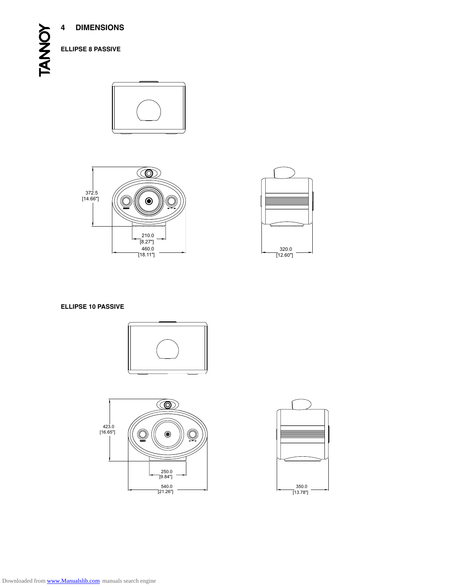**4 DIMENSIONS**







#### **ellipse 10 passive**







Downloaded from [www.Manualslib.com](http://www.manualslib.com/) manuals search engine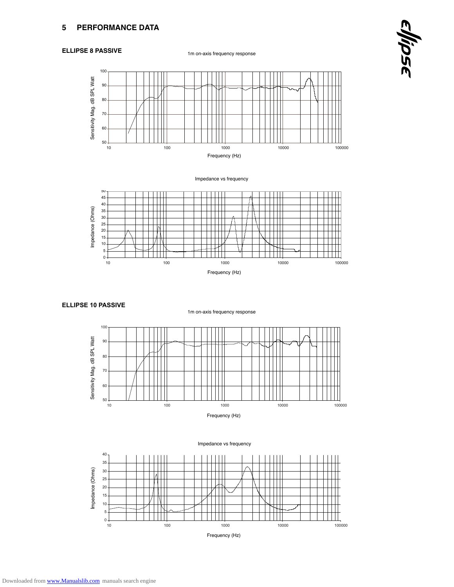#### **Ellipse 8 Passive**

1m on-axis frequency response





Impedance vs frequency



#### **ELLIPSE 10 PASSIVE**



1m on-axis frequency response

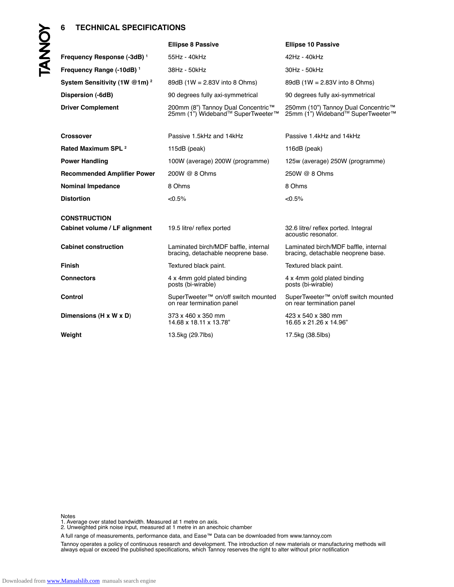|      | <b>TECHNICAL SPECIFICATIONS</b><br>6     |                                                                              |                                                                            |
|------|------------------------------------------|------------------------------------------------------------------------------|----------------------------------------------------------------------------|
|      |                                          | <b>Ellipse 8 Passive</b>                                                     | <b>Ellipse 10 Passive</b>                                                  |
| DANG | Frequency Response (-3dB) <sup>1</sup>   | 55Hz - 40kHz                                                                 | 42Hz - 40kHz                                                               |
|      | Frequency Range (-10dB) <sup>1</sup>     | 38Hz - 50kHz                                                                 | 30Hz - 50kHz                                                               |
|      | System Sensitivity (1W @1m) <sup>2</sup> | 89dB $(1W = 2.83V)$ into 8 Ohms)                                             | 89dB $(1W = 2.83V)$ into 8 Ohms)                                           |
|      | Dispersion (-6dB)                        | 90 degrees fully axi-symmetrical                                             | 90 degrees fully axi-symmetrical                                           |
|      | <b>Driver Complement</b>                 | 200mm (8") Tannoy Dual Concentric™<br>25mm (1") Wideband™ SuperTweeter™      | 250mm (10") Tannoy Dual Concentric™<br>25mm (1") Wideband™ SuperTweeter™   |
|      | <b>Crossover</b>                         | Passive 1.5kHz and 14kHz                                                     | Passive 1.4kHz and 14kHz                                                   |
|      | Rated Maximum SPL <sup>2</sup>           | 115dB (peak)                                                                 | 116dB (peak)                                                               |
|      | <b>Power Handling</b>                    | 100W (average) 200W (programme)                                              | 125w (average) 250W (programme)                                            |
|      | <b>Recommended Amplifier Power</b>       | 200W @ 8 Ohms                                                                | 250W @ 8 Ohms                                                              |
|      | <b>Nominal Impedance</b>                 | 8 Ohms                                                                       | 8 Ohms                                                                     |
|      | <b>Distortion</b>                        | < 0.5%                                                                       | $<$ 0.5%                                                                   |
|      | <b>CONSTRUCTION</b>                      |                                                                              |                                                                            |
|      | Cabinet volume / LF alignment            | 19.5 litre/ reflex ported                                                    | 32.6 litre/ reflex ported. Integral<br>acoustic resonator.                 |
|      | <b>Cabinet construction</b>              | Laminated birch/MDF baffle, internal<br>bracing, detachable neoprene base.   | Laminated birch/MDF baffle, internal<br>bracing, detachable neoprene base. |
|      | <b>Finish</b>                            | Textured black paint.                                                        | Textured black paint.                                                      |
|      | <b>Connectors</b>                        | 4 x 4mm gold plated binding<br>posts (bi-wirable)                            | 4 x 4mm gold plated binding<br>posts (bi-wirable)                          |
|      | <b>Control</b>                           | SuperTweeter <sup>™</sup> on/off switch mounted<br>on rear termination panel | SuperTweeter™ on/off switch mounted<br>on rear termination panel           |
|      | Dimensions (H x W x D)                   | 373 x 460 x 350 mm<br>14.68 x 18.11 x 13.78"                                 | 423 x 540 x 380 mm<br>16.65 x 21.26 x 14.96"                               |
|      | Weight                                   | 13.5kg (29.7lbs)                                                             | 17.5kg (38.5lbs)                                                           |

Notes

1. Average over stated bandwidth. Measured at 1 metre on axis.<br>2. Unweighted pink noise input, measured at 1 metre in an anechoic chamber

A full range of measurements, performance data, and Ease™ Data can be downloaded from www.tannoy.com

Tannoy operates a policy of continuous research and development. The introduction of new materials or manufacturing methods will always equal or exceed the published specifications, which Tannoy reserves the right to alter without prior notification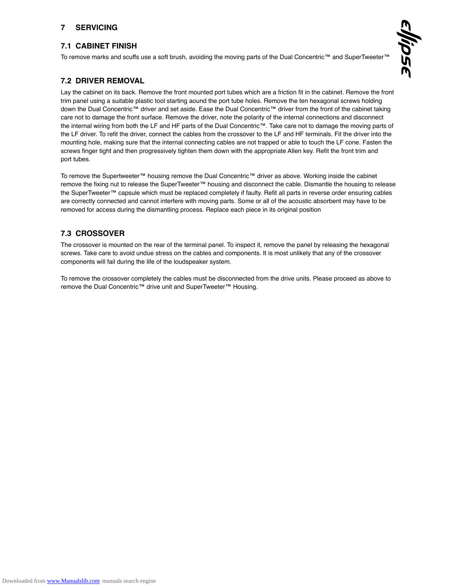# **7 SERVICING**

#### **7.1 CABINET FINISH**

To remove marks and scuffs use a soft brush, avoiding the moving parts of the Dual Concentric™ and SuperTweeter™

#### **7.2 DRIVER REMOVAL**

Lay the cabinet on its back. Remove the front mounted port tubes which are a friction fit in the cabinet. Remove the front trim panel using a suitable plastic tool starting aound the port tube holes. Remove the ten hexagonal screws holding **7.2 DRIVER REMOVAL**<br>Lay the cabinet on its back. Remove the front mounted port tubes which are a friction fit in the cabinet. Remove the fron<br>trim panel using a suitable plastic tool starting aound the port tube holes. R Lay the cabinet on its back. Remove the front mounted port tubes which are a friction fit in the cabinet. Remove the fr<br>trim panel using a suitable plastic tool starting aound the port tube holes. Remove the ten hexagonal trim panel using a suitable plastic tool starting aound the port tube holes. Remove the ten hexagonal screws holding<br>down the Dual Concentric™ driver and set aside. Ease the Dual Concentric™ driver from the front of the c the LF driver. To refit the driver, connect the cables from the crossover to the LF and HF terminals. Fit the driver into the care not to damage the front surface. Remove the driver, note the polarity of the internal connections and disconnect<br>the internal wiring from both the LF and HF parts of the Dual Concentric™. Take care not to damage the screws finger tight and then progressively tighten them down with the appropriate Allen key. Refit the front trim and port tubes.

To remove the Supertweeter™ housing remove the Dual Concentric™ driver as above. Working inside the cabinet remove the fixing nut to release the SuperTweeter™ housing and disconnect the cable. Dismantle the housing to release the SuperTweeter™ capsule which must be replaced completely if faulty. Refit all parts in reverse order ensuring cables Io remove the Supertweeter'™ housing remove the Dual Concentric'™ driver as above. Working inside the cabinet<br>The correctly connected and cannot interfere with moving and disconnect the cable. Dismantle the housing to rel remove the fixing nut to release the SuperTweeter™ housing and disconnect the cable. Disma<br>the SuperTweeter™ capsule which must be replaced completely if faulty. Refit all parts in reve<br>are correctly connected and cannot

# **7.3 CROSSOVER**

The crossover is mounted on the rear of the terminal panel. To inspect it, remove the panel by releasing the hexagonal **7.3 CROSSOVER**<br>The crossover is mounted on the rear of the terminal panel. To inspect it, remove the panel by releasing the hexagor<br>screws. Take care to avoid undue stress on the cables and components. It is most unlikel components will fail during the life of the loudspeaker system. components will fail during the life of the loudspeaker system.<br>To remove the crossover completely the cables must be disconnected from the drive units. Please proceed as above to

To remove the crossover completely the cables must be disconnected f<br>remove the Dual Concentric™ drive unit and SuperTweeter™ Housing.

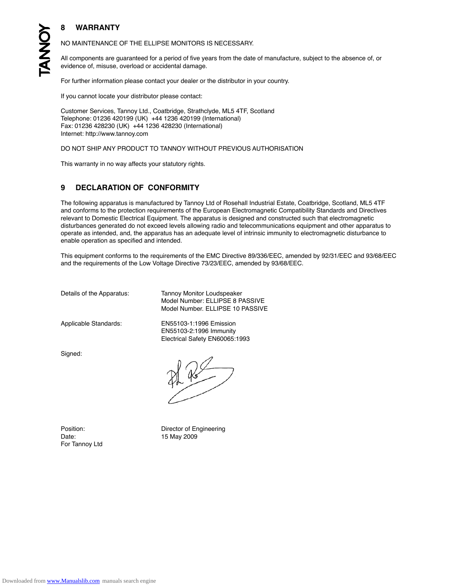# **8 WARRANTY**

NO MAINTENANCE OF THE ELLIPSE MONITORS IS NECESSARY.

All components are guaranteed for a period of five years from the date of manufacture, subject to the absence of, or evidence of, misuse, overload or accidental damage.

For further information please contact your dealer or the distributor in your country. Experience of, misuse, overload or accidental damageration please contact your dealer contact:<br>If you cannot locate your distributor please contact:

If you cannot locate your distributor please contact:<br>Customer Services, Tannoy Ltd., Coatbridge, Strathclyde, ML5 4TF, Scotland If you cannot locate your distributor please contact:<br>Customer Services, Tannoy Ltd., Coatbridge, Strathclyde, ML5 4<sup>-</sup><br>Telephone: 01236 420199 (UK) +44 1236 420199 (International) ir you cannot locate your distributor piease contact:<br>Customer Services, Tannoy Ltd., Coatbridge, Strathclyde,<br>Telephone: 01236 420199 (UK) +44 1236 420199 (Interna<br>Fax: 01236 428230 (UK) +44 1236 428230 (International) Customer Services, Tannoy Ltd<br>Telephone: 01236 420199 (UK)<br>Fax: 01236 428230 (UK) +44 1<br>Internet: http://www.tannoy.com Fax: 01236 428230 (UK) +44 1236 428230 (International)<br>Internet: http://www.tannoy.com<br>DO NOT SHIP ANY PRODUCT TO TANNOY WITHOUT PREVIOUS AUTHORISATION

This warranty in no way affects your statutory rights.

#### **9 DECLARATION OF CONFORMITY**

The following apparatus is manufactured by Tannoy Ltd of Rosehall Industrial Estate, Coatbridge, Scotland, ML5 4TF **9 DECLARATION OF CONFORMITY**<br>The following apparatus is manufactured by Tannoy Ltd of Rosehall Industrial Estate, Coatbridge, Scotland, ML5 4TF<br>and conforms to the protection requirements of the European Electromagneti The following apparatus is manufactured by Tannoy Ltd of Rosehall Industrial Estate, Coatbridge, Scotland, ML5<br>and conforms to the protection requirements of the European Electromagnetic Compatibility Standards and Direct<br> disturbances generated do not exceed levels allowing radio and telecommunications equipment and other apparatus to operate as intended, and, the apparatus has an adequate level of intrinsic immunity to electromagnetic disturbance to enable operation as specified and intended. operate as intended, and, the apparatus has an adequate lever of intimisic immunity to electromagnetic disturbance to<br>enable operation as specified and intended.<br>This equipment conforms to the requirements of the EMC Direc

enable operation as specified and intended.<br>This equipment conforms to the requirements of the EMC Directive 89/336/EEC, amend<br>and the requirements of the Low Voltage Directive 73/23/EEC, amended by 93/68/EEC.

Details of the Apparatus: Tannoy Monitor Loudspeaker Model Number: ELLIPSE 8 PASSIVE aratus: Tannoy Monitor Loudspeaker<br>Model Number: ELLIPSE 8 PASSIVE<br>Model Number. ELLIPSE 10 PASSIVE

Model Number. ELLIPSE 1<br>Applicable Standards: EN55103-1:1996 Emission Applicable Standards: EN55103-1:1996 Emission<br>EN55103-2:1996 Immunity Electrical Safety EN60065:1993

Signed:

For Tannoy Ltd

Position: Director of Engineering<br>
Date: 15 May 2009 15 May 2009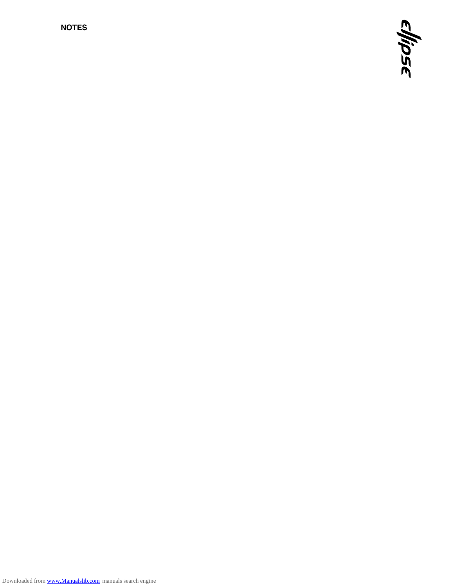**NOTES**